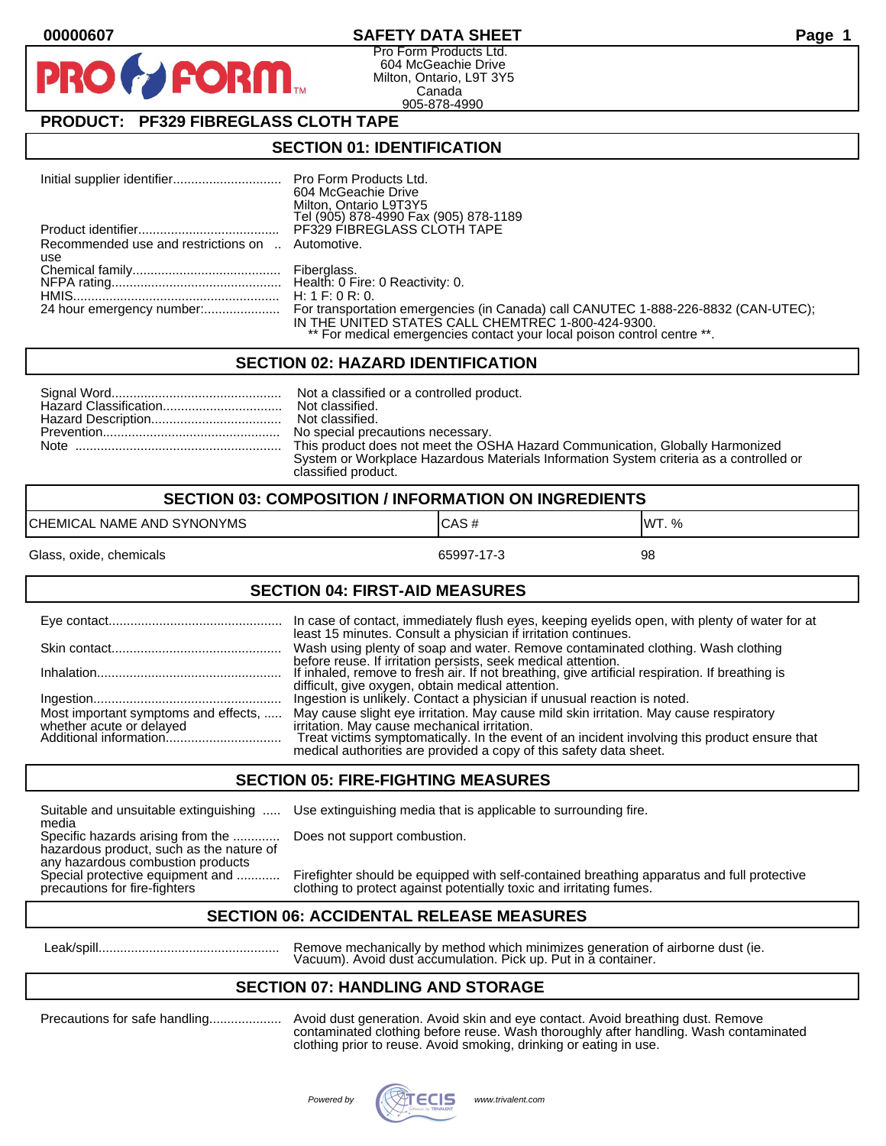# **00000607 SAFETY DATA SHEET Page 1**

Pro Form Products Ltd. 604 McGeachie Drive Milton, Ontario, L9T 3Y5 Canada 905-878-4990

# **PRODUCT: PF329 FIBREGLASS CLOTH TAPE**

**FORM.** 

### **SECTION 01: IDENTIFICATION**

|                                                  | 604 McGeachie Drive<br>Milton, Ontario L9T3Y5<br>Tel (905) 878-4990 Fax (905) 878-1189 |
|--------------------------------------------------|----------------------------------------------------------------------------------------|
|                                                  | <b>PF329 FIBREGLASS CLOTH TAPE</b>                                                     |
| Recommended use and restrictions on  Automotive. |                                                                                        |
| use                                              |                                                                                        |
|                                                  |                                                                                        |
|                                                  |                                                                                        |
|                                                  |                                                                                        |
|                                                  |                                                                                        |
|                                                  | IN THE UNITED STATES CALL CHEMTREC 1-800-424-9300.                                     |
|                                                  | ** For medical emergencies contact your local poison control centre **.                |

## **SECTION 02: HAZARD IDENTIFICATION**

| This product does not meet the OSHA Hazard Communication, Globally Harmonized          |
|----------------------------------------------------------------------------------------|
| System or Workplace Hazardous Materials Information System criteria as a controlled or |
| classified product.                                                                    |

| <b>SECTION 03: COMPOSITION / INFORMATION ON INGREDIENTS</b> |            |        |
|-------------------------------------------------------------|------------|--------|
| CHEMICAL NAME AND SYNONYMS                                  | ICAS#      | IWT. % |
| Glass, oxide, chemicals                                     | 65997-17-3 | 98     |

# **SECTION 04: FIRST-AID MEASURES**

|                                                                  | In case of contact, immediately flush eyes, keeping eyelids open, with plenty of water for at<br>least 15 minutes. Consult a physician if irritation continues.                                                                                                                                               |
|------------------------------------------------------------------|---------------------------------------------------------------------------------------------------------------------------------------------------------------------------------------------------------------------------------------------------------------------------------------------------------------|
|                                                                  | Wash using plenty of soap and water. Remove contaminated clothing. Wash clothing                                                                                                                                                                                                                              |
|                                                                  | before reuse. If irritation persists, seek medical attention.<br>If inhaled, remove to fresh air. If not breathing, give artificial respiration. If breathing is<br>difficult, give oxygen, obtain medical attention.                                                                                         |
|                                                                  | Ingestion is unlikely. Contact a physician if unusual reaction is noted.                                                                                                                                                                                                                                      |
| Most important symptoms and effects,<br>whether acute or delayed | May cause slight eye irritation. May cause mild skin irritation. May cause respiratory<br>irritation. May cause mechanical irritation.<br>Treat victims symptomatically. In the event of an incident involving this product ensure that<br>medical authorities are provided a copy of this safety data sheet. |

#### **SECTION 05: FIRE-FIGHTING MEASURES**

Suitable and unsuitable extinguishing ..... Use extinguishing media that is applicable to surrounding fire. media

Specific hazards arising from the ............. Does not support combustion. hazardous product, such as the nature of any hazardous combustion products<br>Special protective equipment and ............

Firefighter should be equipped with self-contained breathing apparatus and full protective precautions for fire-fighters clothing to protect against potentially toxic and irritating fumes.

# **SECTION 06: ACCIDENTAL RELEASE MEASURES**

 Leak/spill.................................................. Remove mechanically by method which minimizes generation of airborne dust (ie. Vacuum). Avoid dust accumulation. Pick up. Put in a container.

# **SECTION 07: HANDLING AND STORAGE**

Precautions for safe handling.................... Avoid dust generation. Avoid skin and eye contact. Avoid breathing dust. Remove contaminated clothing before reuse. Wash thoroughly after handling. Wash contaminated clothing prior to reuse. Avoid smoking, drinking or eating in use.

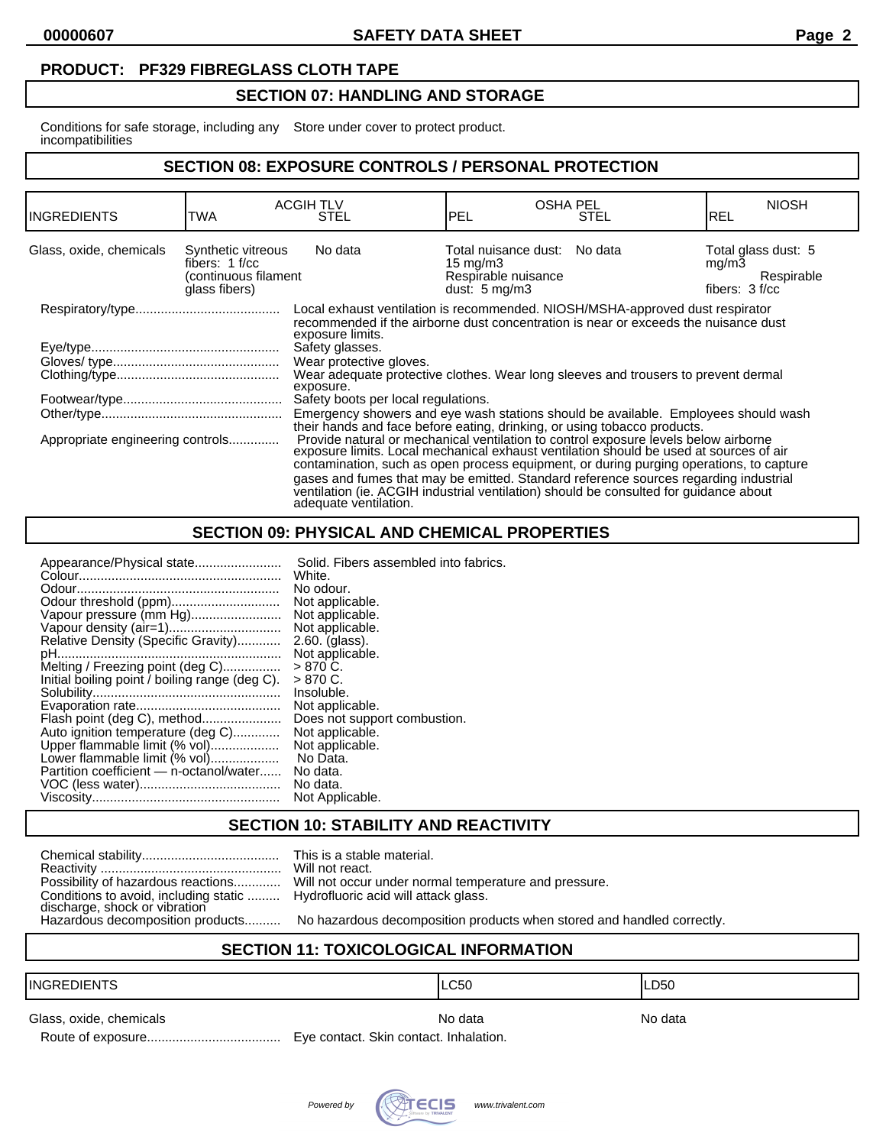**00000607 SAFETY DATA SHEET Page 2**

# **PRODUCT: PF329 FIBREGLASS CLOTH TAPE**

# **SECTION 07: HANDLING AND STORAGE**

Conditions for safe storage, including any Store under cover to protect product. incompatibilities

# **SECTION 08: EXPOSURE CONTROLS / PERSONAL PROTECTION**

| <b>INGREDIENTS</b>               | TWA                                                                             | <b>ACGIHTLV</b><br>STEL                                                                                                                                                                                                                                                                                                                                                                                                                                                                                                                                                                                                                                                                                                                                                                                                                                                                                                                                                                                                                  | <b>OSHA PEL</b><br>PEL                                                                         | <b>STEL</b> | <b>NIOSH</b><br>IREL                                           |
|----------------------------------|---------------------------------------------------------------------------------|------------------------------------------------------------------------------------------------------------------------------------------------------------------------------------------------------------------------------------------------------------------------------------------------------------------------------------------------------------------------------------------------------------------------------------------------------------------------------------------------------------------------------------------------------------------------------------------------------------------------------------------------------------------------------------------------------------------------------------------------------------------------------------------------------------------------------------------------------------------------------------------------------------------------------------------------------------------------------------------------------------------------------------------|------------------------------------------------------------------------------------------------|-------------|----------------------------------------------------------------|
| Glass, oxide, chemicals          | Synthetic vitreous<br>fibers: $1 f/cc$<br>(continuous filament<br>glass fibers) | No data                                                                                                                                                                                                                                                                                                                                                                                                                                                                                                                                                                                                                                                                                                                                                                                                                                                                                                                                                                                                                                  | Total nuisance dust: No data<br>15 mg/m $3$<br>Respirable nuisance<br>dust: $5 \text{ mg/m}$ 3 |             | Total glass dust: 5<br>mg/m3<br>Respirable<br>fibers: $3 f/cc$ |
| Appropriate engineering controls |                                                                                 | Local exhaust ventilation is recommended. NIOSH/MSHA-approved dust respirator<br>recommended if the airborne dust concentration is near or exceeds the nuisance dust<br>exposure limits.<br>Safety glasses.<br>Wear protective gloves.<br>Wear adequate protective clothes. Wear long sleeves and trousers to prevent dermal<br>exposure.<br>Safety boots per local regulations.<br>Emergency showers and eye wash stations should be available. Employees should wash<br>their hands and face before eating, drinking, or using tobacco products.<br>Provide natural or mechanical ventilation to control exposure levels below airborne<br>exposure limits. Local mechanical exhaust ventilation should be used at sources of air<br>contamination, such as open process equipment, or during purging operations, to capture<br>gases and fumes that may be emitted. Standard reference sources regarding industrial<br>ventilation (ie. ACGIH industrial ventilation) should be consulted for quidance about<br>adequate ventilation. |                                                                                                |             |                                                                |

# **SECTION 09: PHYSICAL AND CHEMICAL PROPERTIES**

| Appearance/Physical state                      | Solid. Fibers assembled into fabrics. |
|------------------------------------------------|---------------------------------------|
|                                                | White.                                |
|                                                | No odour.                             |
| Odour threshold (ppm)                          | Not applicable.                       |
| Vapour pressure (mm Hg)                        | Not applicable.                       |
|                                                | Not applicable.                       |
| Relative Density (Specific Gravity)            | 2.60. (glass).                        |
|                                                | Not applicable.                       |
| Melting / Freezing point (deg C)               | $> 870 C$ .                           |
| Initial boiling point / boiling range (deg C). | $> 870 C$ .                           |
|                                                | Insoluble.                            |
|                                                | Not applicable.                       |
| Flash point (deg C), method                    | Does not support combustion.          |
| Auto ignition temperature (deg C)              | Not applicable.                       |
| Upper flammable limit (% vol)                  | Not applicable.                       |
| Lower flammable limit (% vol)                  | No Data.                              |
| Partition coefficient - n-octanol/water        | No data.                              |
|                                                | No data.                              |
|                                                | Not Applicable.                       |
|                                                |                                       |

Route of exposure..................................... Eye contact. Skin contact. Inhalation.

# **SECTION 10: STABILITY AND REACTIVITY**

This is a stable material.

| Possibility of hazardous reactions                                     |
|------------------------------------------------------------------------|
| Conditions to avoid, including static<br>discharge, shock or vibration |
| Hazardous decomposition products                                       |

Will not react. Will not occur under normal temperature and pressure. Hydrofluoric acid will attack glass.

No hazardous decomposition products when stored and handled correctly.

# **SECTION 11: TOXICOLOGICAL INFORMATION**

# INGREDIENTS LC50 LD50

Glass, oxide, chemicals Note and America Chemicals And America Note and America Notata Note and America Note and America America Note and America Note and America America Note and America Note and America Note and America